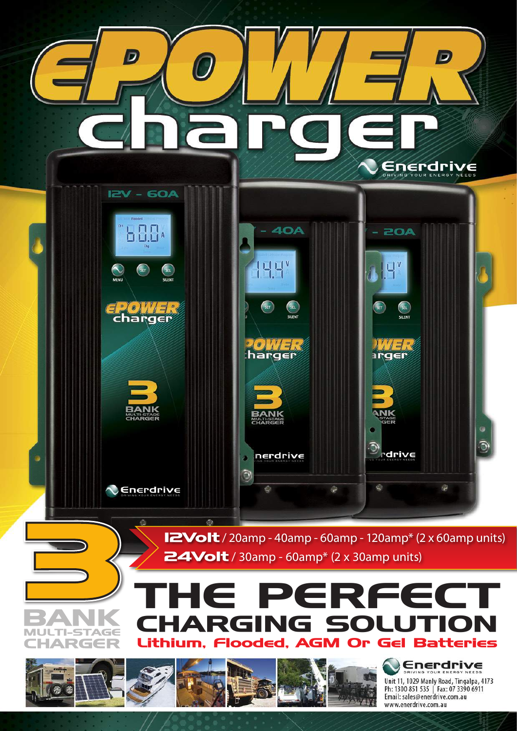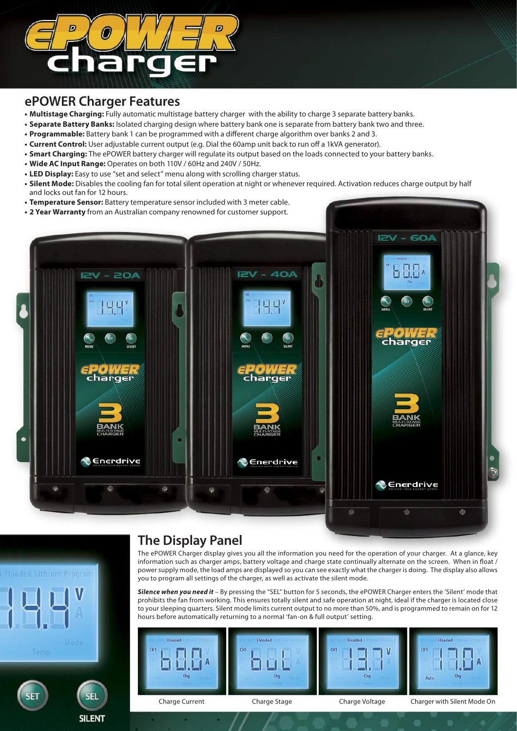

# **ePOWER Charger Features**

- **• Multistage Charging:** Fully automatic multistage battery charger with the ability to charge 3 separate battery banks.
- **• Separate Battery Banks:** Isolated charging design where battery bank one is separate from battery bank two and three.
- **• Programmable:** Battery bank 1 can be programmed with a different charge algorithm over banks 2 and 3.
- **• Current Control:** User adjustable current output (e.g. Dial the 60amp unit back to run off a 1kVA generator).
- **• Smart Charging:** The ePOWER battery charger will regulate its output based on the loads connected to your battery banks.
- **• Wide AC Input Range:** Operates on both 110V / 60Hz and 240V / 50Hz.
- LED Display: Easy to use "set and select" menu along with scrolling charger status.
- Silent Mode: Disables the cooling fan for total silent operation at night or whenever required. Activation reduces charge output by half and locks out fan for 12 hours.
- **• Temperature Sensor:** Battery temperature sensor included with 3 meter cable.
- **2 Year Warranty** from an Australian company renowned for customer support.



# **SEI**

**SILENT** 

# **The Display Panel**

The ePOWER Charger display gives you all the information you need for the operation of your charger. At a glance, key information such as charger amps, battery voltage and charge state continually alternate on the screen. When in float / power supply mode, the load amps are displayed so you can see exactly what the charger is doing. The display also allows you to program all settings of the charger, as well as activate the silent mode.

*Silence when you need it* – By pressing the "SEL" button for 5 seconds, the ePOWER Charger enters the 'Silent' mode that prohibits the fan from working. This ensures totally silent and safe operation at night, ideal if the charger is located close to your sleeping quarters. Silent mode limits current output to no more than 50%, and is programmed to remain on for 12 hours before automatically returning to a normal 'fan-on & full output' setting.

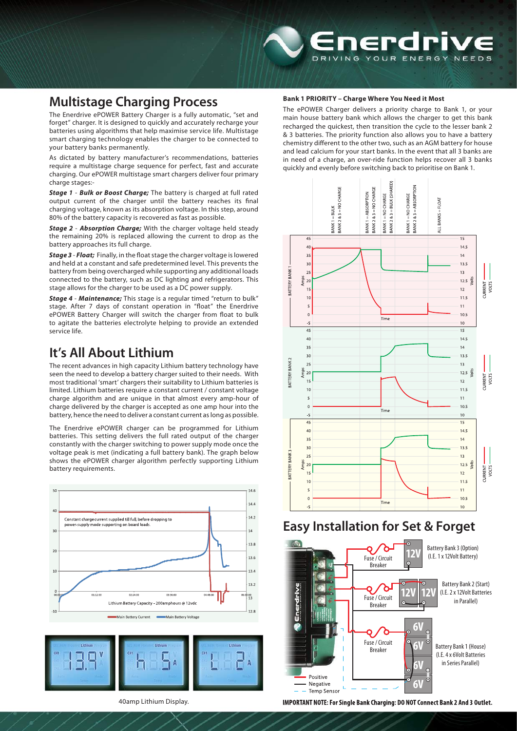# **Multistage Charging Process**

The Enerdrive ePOWER Battery Charger is a fully automatic, "set and forget" charger. It is designed to quickly and accurately recharge your batteries using algorithms that help maximise service life. Multistage smart charging technology enables the charger to be connected to your battery banks permanently.

As dictated by battery manufacturer's recommendations, batteries require a multistage charge sequence for perfect, fast and accurate charging. Our ePOWER multistage smart chargers deliver four primary charge stages:-

*Stage 1* - *Bulk or Boost Charge;* The battery is charged at full rated output current of the charger until the battery reaches its final charging voltage, known as its absorption voltage. In this step, around 80% of the battery capacity is recovered as fast as possible.

*Stage 2* - *Absorption Charge;* With the charger voltage held steady the remaining 20% is replaced allowing the current to drop as the battery approaches its full charge.

*Stage 3* - *Float;* Finally, in the float stage the charger voltage is lowered and held at a constant and safe predetermined level. This prevents the battery from being overcharged while supporting any additional loads connected to the battery, such as DC lighting and refrigerators. This stage allows for the charger to be used as a DC power supply.

*Stage 4* - *Maintenance;* This stage is a regular timed "return to bulk" stage. After 7 days of constant operation in "float" the Enerdrive ePOWER Battery Charger will switch the charger from float to bulk to agitate the batteries electrolyte helping to provide an extended service life.

# **It's All About Lithium**

The recent advances in high capacity Lithium battery technology have seen the need to develop a battery charger suited to their needs. With most traditional 'smart' chargers their suitability to Lithium batteries is limited. Lithium batteries require a constant current / constant voltage charge algorithm and are unique in that almost every amp-hour of charge delivered by the charger is accepted as one amp hour into the battery, hence the need to deliver a constant current as long as possible.

The Enerdrive ePOWER charger can be programmed for Lithium batteries. This setting delivers the full rated output of the charger constantly with the charger switching to power supply mode once the voltage peak is met (indicating a full battery bank). The graph below shows the ePOWER charger algorithm perfectly supporting Lithium battery requirements.





### 40amp Lithium Display.

### **Bank 1 PRIORITY – Charge Where You Need it Most**

The ePOWER Charger delivers a priority charge to Bank 1, or your main house battery bank which allows the charger to get this bank recharged the quickest, then transition the cycle to the lesser bank 2 & 3 batteries. The priority function also allows you to have a battery chemistry different to the other two, such as an AGM battery for house and lead calcium for your start banks. In the event that all 3 banks are in need of a charge, an over-ride function helps recover all 3 banks quickly and evenly before switching back to prioritise on Bank 1.



# **Easy Installation for Set & Forget**



IMPORTANT NOTE: For Single Bank Charging: DO NOT Connect Bank 2 And 3 Outlet.